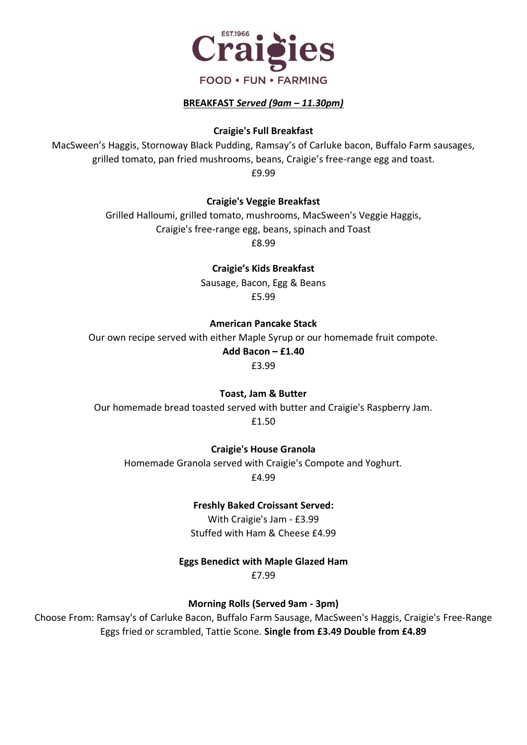

#### **BREAKFAST** *Served (9am – 11.30pm)*

#### **Craigie's Full Breakfast**

MacSween's Haggis, Stornoway Black Pudding, Ramsay's of Carluke bacon, Buffalo Farm sausages, grilled tomato, pan fried mushrooms, beans, Craigie's free-range egg and toast. £9.99

#### **Craigie's Veggie Breakfast**

Grilled Halloumi, grilled tomato, mushrooms, MacSween's Veggie Haggis, Craigie's free-range egg, beans, spinach and Toast

£8.99

#### **Craigie's Kids Breakfast**

Sausage, Bacon, Egg & Beans £5.99

#### **American Pancake Stack**

Our own recipe served with either Maple Syrup or our homemade fruit compote. **Add Bacon – £1.40**

£3.99

#### **Toast, Jam & Butter**

Our homemade bread toasted served with butter and Craigie's Raspberry Jam. £1.50

#### **Craigie's House Granola**

Homemade Granola served with Craigie's Compote and Yoghurt. £4.99

#### **Freshly Baked Croissant Served:**

With Craigie's Jam - £3.99 Stuffed with Ham & Cheese £4.99

#### **Eggs Benedict with Maple Glazed Ham**

£7.99

**Morning Rolls (Served 9am - 3pm)**

Choose From: Ramsay's of Carluke Bacon, Buffalo Farm Sausage, MacSween's Haggis, Craigie's Free-Range Eggs fried or scrambled, Tattie Scone. **Single from £3.49 Double from £4.89**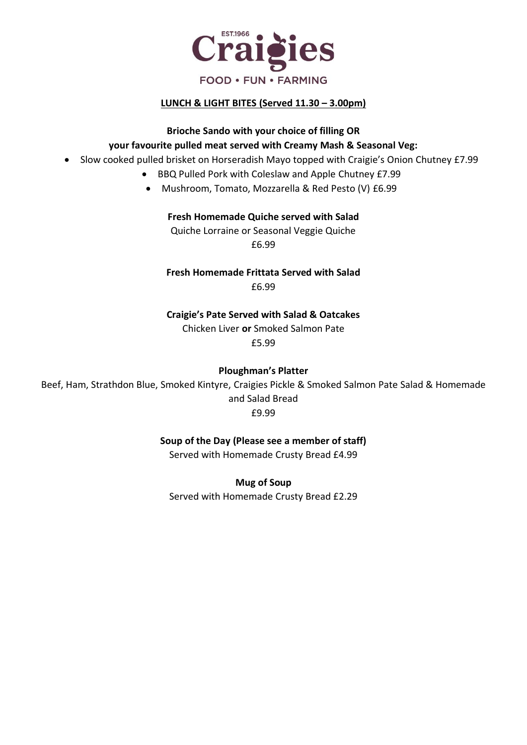

### **LUNCH & LIGHT BITES (Served 11.30 – 3.00pm)**

# **Brioche Sando with your choice of filling OR your favourite pulled meat served with Creamy Mash & Seasonal Veg:**

- Slow cooked pulled brisket on Horseradish Mayo topped with Craigie's Onion Chutney £7.99
	- BBQ Pulled Pork with Coleslaw and Apple Chutney £7.99
	- Mushroom, Tomato, Mozzarella & Red Pesto (V) £6.99

#### **Fresh Homemade Quiche served with Salad**

Quiche Lorraine or Seasonal Veggie Quiche £6.99

**Fresh Homemade Frittata Served with Salad** £6.99

**Craigie's Pate Served with Salad & Oatcakes** Chicken Liver **or** Smoked Salmon Pate £5.99

**Ploughman's Platter** 

Beef, Ham, Strathdon Blue, Smoked Kintyre, Craigies Pickle & Smoked Salmon Pate Salad & Homemade and Salad Bread £9.99

**Soup of the Day (Please see a member of staff)**

Served with Homemade Crusty Bread £4.99

**Mug of Soup** Served with Homemade Crusty Bread £2.29